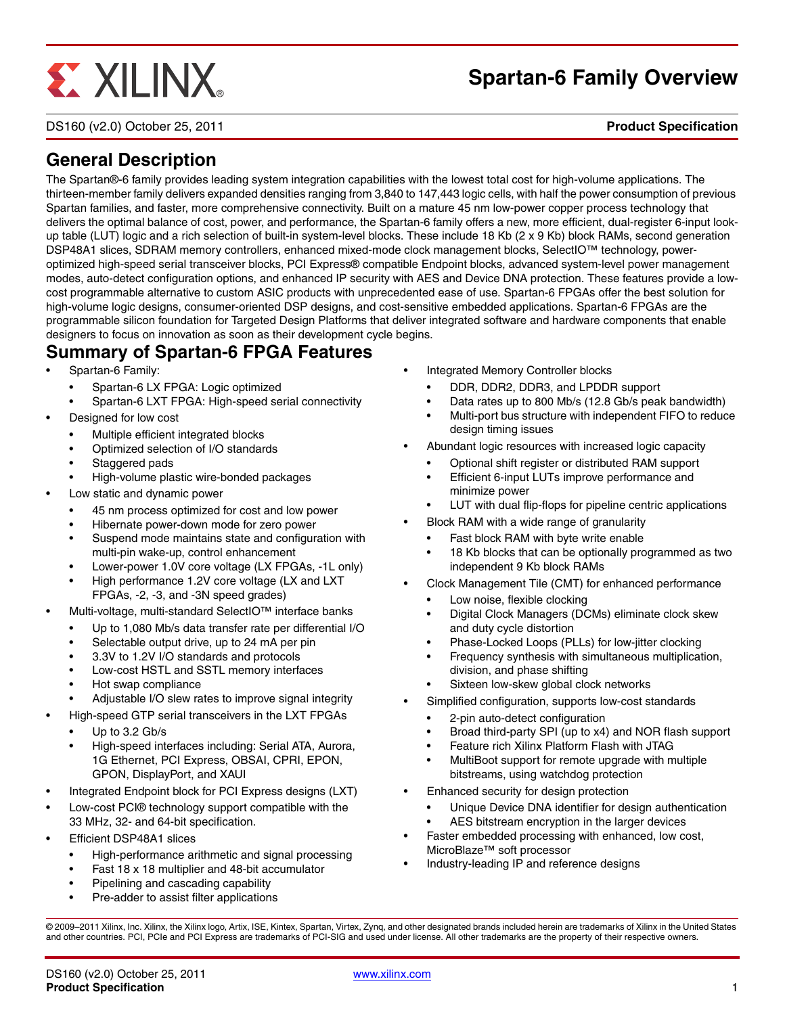# **EXILINX**

# **Spartan-6 Family Overview**

DS160 (v2.0) October 25, 2011 **Product Specification**

# **General Description**

The Spartan®-6 family provides leading system integration capabilities with the lowest total cost for high-volume applications. The thirteen-member family delivers expanded densities ranging from 3,840 to 147,443 logic cells, with half the power consumption of previous Spartan families, and faster, more comprehensive connectivity. Built on a mature 45 nm low-power copper process technology that delivers the optimal balance of cost, power, and performance, the Spartan-6 family offers a new, more efficient, dual-register 6-input lookup table (LUT) logic and a rich selection of built-in system-level blocks. These include 18 Kb (2 x 9 Kb) block RAMs, second generation DSP48A1 slices, SDRAM memory controllers, enhanced mixed-mode clock management blocks, SelectIO™ technology, poweroptimized high-speed serial transceiver blocks, PCI Express® compatible Endpoint blocks, advanced system-level power management modes, auto-detect configuration options, and enhanced IP security with AES and Device DNA protection. These features provide a lowcost programmable alternative to custom ASIC products with unprecedented ease of use. Spartan-6 FPGAs offer the best solution for high-volume logic designs, consumer-oriented DSP designs, and cost-sensitive embedded applications. Spartan-6 FPGAs are the programmable silicon foundation for Targeted Design Platforms that deliver integrated software and hardware components that enable designers to focus on innovation as soon as their development cycle begins.

# <span id="page-0-4"></span>**Summary of Spartan-6 FPGA Features**

- Spartan-6 Family:
	- Spartan-6 LX FPGA: Logic optimized
	- Spartan-6 LXT FPGA: High-speed serial connectivity
- <span id="page-0-1"></span>• Designed for low cost
	- Multiple efficient integrated blocks
	- Optimized selection of I/O standards
	- Staggered pads
	- High-volume plastic wire-bonded packages
- Low static and dynamic power
	- 45 nm process optimized for cost and low power
	- Hibernate power-down mode for zero power
	- Suspend mode maintains state and configuration with multi-pin wake-up, control enhancement
	- Lower-power 1.0V core voltage (LX FPGAs, -1L only)
	- High performance 1.2V core voltage (LX and LXT FPGAs, -2, -3, and -3N speed grades)
- <span id="page-0-2"></span>• Multi-voltage, multi-standard SelectIO™ interface banks
	- Up to 1,080 Mb/s data transfer rate per differential I/O
	- Selectable output drive, up to 24 mA per pin
	- 3.3V to 1.2V I/O standards and protocols
	- Low-cost HSTL and SSTL memory interfaces
	- Hot swap compliance
	- Adjustable I/O slew rates to improve signal integrity
	- High-speed GTP serial transceivers in the LXT FPGAs Up to 3.2 Gb/s
	- High-speed interfaces including: Serial ATA, Aurora, 1G Ethernet, PCI Express, OBSAI, CPRI, EPON, GPON, DisplayPort, and XAUI
- Integrated Endpoint block for PCI Express designs (LXT)
- <span id="page-0-0"></span>• Low-cost PCI® technology support compatible with the 33 MHz, 32- and 64-bit specification.
- Efficient DSP48A1 slices
	- High-performance arithmetic and signal processing
	- Fast 18 x 18 multiplier and 48-bit accumulator
	- Pipelining and cascading capability
	- Pre-adder to assist filter applications
- <span id="page-0-3"></span>• Integrated Memory Controller blocks
	- DDR, DDR2, DDR3, and LPDDR support
	- Data rates up to 800 Mb/s (12.8 Gb/s peak bandwidth)
	- Multi-port bus structure with independent FIFO to reduce design timing issues
- Abundant logic resources with increased logic capacity
	- Optional shift register or distributed RAM support
	- Efficient 6-input LUTs improve performance and minimize power
	- LUT with dual flip-flops for pipeline centric applications
- Block RAM with a wide range of granularity
	- Fast block RAM with byte write enable
	- 18 Kb blocks that can be optionally programmed as two independent 9 Kb block RAMs
- Clock Management Tile (CMT) for enhanced performance
	- Low noise, flexible clocking
	- Digital Clock Managers (DCMs) eliminate clock skew and duty cycle distortion
	- Phase-Locked Loops (PLLs) for low-jitter clocking
	- Frequency synthesis with simultaneous multiplication, division, and phase shifting
	- Sixteen low-skew global clock networks
- Simplified configuration, supports low-cost standards
	- 2-pin auto-detect configuration
	- Broad third-party SPI (up to x4) and NOR flash support
	- Feature rich Xilinx Platform Flash with JTAG
	- MultiBoot support for remote upgrade with multiple bitstreams, using watchdog protection
- Enhanced security for design protection
	- Unique Device DNA identifier for design authentication
	- AES bitstream encryption in the larger devices
- Faster embedded processing with enhanced, low cost, MicroBlaze™ soft processor
- Industry-leading IP and reference designs

© 2009–2011 Xilinx, Inc. Xilinx, the Xilinx logo, Artix, ISE, Kintex, Spartan, Virtex, Zynq, and other designated brands included herein are trademarks of Xilinx in the United States and other countries. PCI, PCIe and PCI Express are trademarks of PCI-SIG and used under license. All other trademarks are the property of their respective owners.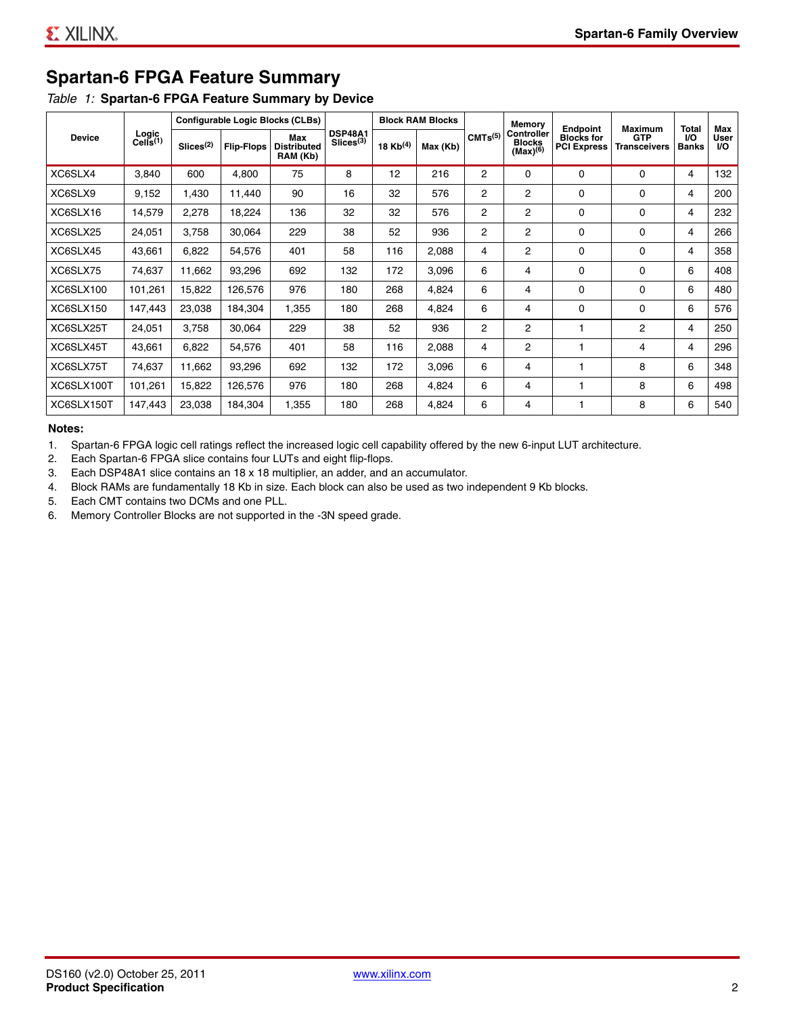# **Spartan-6 FPGA Feature Summary**

#### <span id="page-1-0"></span>*Table 1:* **Spartan-6 FPGA Feature Summary by Device**

| <b>Device</b>    | Logic<br>Cells <sup>(1)</sup> | <b>Configurable Logic Blocks (CLBs)</b> |                   |                                       |                                         | <b>Block RAM Blocks</b> |          |                     | Memory                                              | <b>Endpoint</b>                         | Maximum                           | <b>Total</b>              | Max                      |
|------------------|-------------------------------|-----------------------------------------|-------------------|---------------------------------------|-----------------------------------------|-------------------------|----------|---------------------|-----------------------------------------------------|-----------------------------------------|-----------------------------------|---------------------------|--------------------------|
|                  |                               | Slices <sup>(2)</sup>                   | <b>Flip-Flops</b> | Max<br><b>Distributed</b><br>RAM (Kb) | <b>DSP48A1</b><br>Slices <sup>(3)</sup> | 18 $Kb^{(4)}$           | Max (Kb) | CMTs <sup>(5)</sup> | <b>Controller</b><br><b>Blocks</b><br>$(Max)^{(6)}$ | <b>Blocks for</b><br><b>PCI Express</b> | <b>GTP</b><br><b>Transceivers</b> | <b>VO</b><br><b>Banks</b> | <b>User</b><br><b>VO</b> |
| XC6SLX4          | 3,840                         | 600                                     | 4,800             | 75                                    | 8                                       | 12                      | 216      | 2                   | 0                                                   | $\Omega$                                | 0                                 | 4                         | 132                      |
| XC6SLX9          | 9,152                         | 1,430                                   | 11,440            | 90                                    | 16                                      | 32                      | 576      | 2                   | 2                                                   | $\Omega$                                | $\Omega$                          | 4                         | 200                      |
| XC6SLX16         | 14,579                        | 2,278                                   | 18,224            | 136                                   | 32                                      | 32                      | 576      | 2                   | 2                                                   | $\Omega$                                | 0                                 | 4                         | 232                      |
| XC6SLX25         | 24,051                        | 3,758                                   | 30,064            | 229                                   | 38                                      | 52                      | 936      | 2                   | 2                                                   | $\Omega$                                | 0                                 | 4                         | 266                      |
| XC6SLX45         | 43,661                        | 6,822                                   | 54,576            | 401                                   | 58                                      | 116                     | 2,088    | 4                   | 2                                                   | $\Omega$                                | $\Omega$                          | 4                         | 358                      |
| XC6SLX75         | 74,637                        | 11,662                                  | 93,296            | 692                                   | 132                                     | 172                     | 3,096    | 6                   | 4                                                   | $\Omega$                                | $\Omega$                          | 6                         | 408                      |
| <b>XC6SLX100</b> | 101,261                       | 15,822                                  | 126,576           | 976                                   | 180                                     | 268                     | 4,824    | 6                   | 4                                                   | $\Omega$                                | $\Omega$                          | 6                         | 480                      |
| <b>XC6SLX150</b> | 147,443                       | 23,038                                  | 184,304           | 1,355                                 | 180                                     | 268                     | 4,824    | 6                   | 4                                                   | $\Omega$                                | $\Omega$                          | 6                         | 576                      |
| XC6SLX25T        | 24,051                        | 3,758                                   | 30,064            | 229                                   | 38                                      | 52                      | 936      | 2                   | 2                                                   |                                         | $\overline{2}$                    | 4                         | 250                      |
| XC6SLX45T        | 43,661                        | 6,822                                   | 54,576            | 401                                   | 58                                      | 116                     | 2,088    | 4                   | 2                                                   | 1                                       | 4                                 | 4                         | 296                      |
| XC6SLX75T        | 74,637                        | 11,662                                  | 93,296            | 692                                   | 132                                     | 172                     | 3,096    | 6                   | 4                                                   |                                         | 8                                 | 6                         | 348                      |
| XC6SLX100T       | 101,261                       | 15,822                                  | 126,576           | 976                                   | 180                                     | 268                     | 4,824    | 6                   | 4                                                   |                                         | 8                                 | 6                         | 498                      |
| XC6SLX150T       | 147,443                       | 23,038                                  | 184,304           | 1,355                                 | 180                                     | 268                     | 4,824    | 6                   | 4                                                   |                                         | 8                                 | 6                         | 540                      |

#### **Notes:**

1. Spartan-6 FPGA logic cell ratings reflect the increased logic cell capability offered by the new 6-input LUT architecture.

2. Each Spartan-6 FPGA slice contains four LUTs and eight flip-flops.

3. Each DSP48A1 slice contains an 18 x 18 multiplier, an adder, and an accumulator.

4. Block RAMs are fundamentally 18 Kb in size. Each block can also be used as two independent 9 Kb blocks.

5. Each CMT contains two DCMs and one PLL.

6. Memory Controller Blocks are not supported in the -3N speed grade.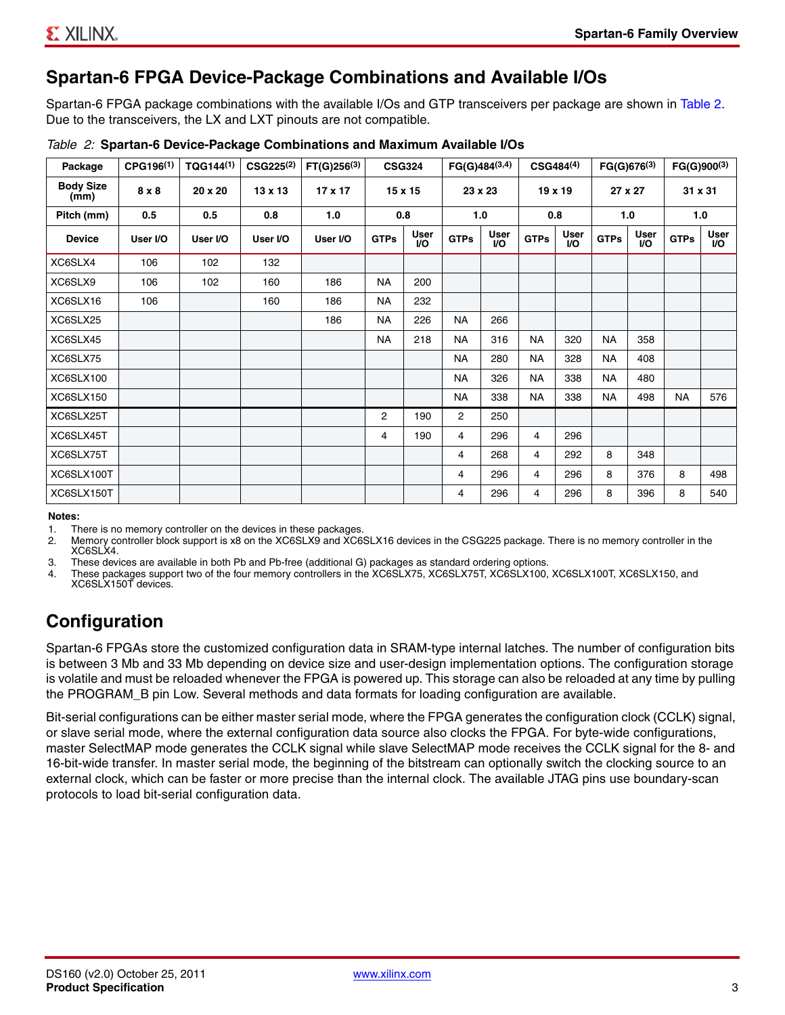# **Spartan-6 FPGA Device-Package Combinations and Available I/Os**

Spartan-6 FPGA package combinations with the available I/Os and GTP transceivers per package are shown in [Table 2.](#page-2-0) Due to the transceivers, the LX and LXT pinouts are not compatible.

| Package                  | CPG196 <sup>(1)</sup> | TQG144 <sup>(1)</sup> | CSG225 <sup>(2)</sup> | $FT(G)256^{(3)}$ |                | <b>CSG324</b>            |                | $FG(G)484^{(3,4)}$ |             | $CSG484^{(4)}$           | $FG(G)676^{(3)}$ |                    |             | $FG(G)900^{(3)}$          |  |
|--------------------------|-----------------------|-----------------------|-----------------------|------------------|----------------|--------------------------|----------------|--------------------|-------------|--------------------------|------------------|--------------------|-------------|---------------------------|--|
| <b>Body Size</b><br>(mm) | $8 \times 8$          | 20 x 20               | $13 \times 13$        | 17 x 17          |                | 15 x 15                  |                | 23 x 23            |             | 19 x 19                  |                  | 27 x 27            |             | 31 x 31                   |  |
| Pitch (mm)               | 0.5                   | 0.5                   | 0.8                   | 1.0              |                | 0.8<br>1.0               |                | 0.8                |             | 1.0                      |                  | 1.0                |             |                           |  |
| <b>Device</b>            | User I/O              | User I/O              | User I/O              | User I/O         | <b>GTPs</b>    | <b>User</b><br><b>VO</b> | <b>GTPs</b>    | User<br>I/O        | <b>GTPs</b> | <b>User</b><br><b>VO</b> | <b>GTPs</b>      | User<br><b>I/O</b> | <b>GTPs</b> | <b>User</b><br><b>I/O</b> |  |
| XC6SLX4                  | 106                   | 102                   | 132                   |                  |                |                          |                |                    |             |                          |                  |                    |             |                           |  |
| XC6SLX9                  | 106                   | 102                   | 160                   | 186              | <b>NA</b>      | 200                      |                |                    |             |                          |                  |                    |             |                           |  |
| XC6SLX16                 | 106                   |                       | 160                   | 186              | <b>NA</b>      | 232                      |                |                    |             |                          |                  |                    |             |                           |  |
| XC6SLX25                 |                       |                       |                       | 186              | <b>NA</b>      | 226                      | <b>NA</b>      | 266                |             |                          |                  |                    |             |                           |  |
| XC6SLX45                 |                       |                       |                       |                  | <b>NA</b>      | 218                      | <b>NA</b>      | 316                | <b>NA</b>   | 320                      | <b>NA</b>        | 358                |             |                           |  |
| XC6SLX75                 |                       |                       |                       |                  |                |                          | <b>NA</b>      | 280                | <b>NA</b>   | 328                      | <b>NA</b>        | 408                |             |                           |  |
| XC6SLX100                |                       |                       |                       |                  |                |                          | <b>NA</b>      | 326                | <b>NA</b>   | 338                      | <b>NA</b>        | 480                |             |                           |  |
| XC6SLX150                |                       |                       |                       |                  |                |                          | <b>NA</b>      | 338                | <b>NA</b>   | 338                      | <b>NA</b>        | 498                | <b>NA</b>   | 576                       |  |
| XC6SLX25T                |                       |                       |                       |                  | $\overline{2}$ | 190                      | $\overline{2}$ | 250                |             |                          |                  |                    |             |                           |  |
| XC6SLX45T                |                       |                       |                       |                  | 4              | 190                      | 4              | 296                | 4           | 296                      |                  |                    |             |                           |  |
| XC6SLX75T                |                       |                       |                       |                  |                |                          | 4              | 268                | 4           | 292                      | 8                | 348                |             |                           |  |
| XC6SLX100T               |                       |                       |                       |                  |                |                          | 4              | 296                | 4           | 296                      | 8                | 376                | 8           | 498                       |  |
| XC6SLX150T               |                       |                       |                       |                  |                |                          | 4              | 296                | 4           | 296                      | 8                | 396                | 8           | 540                       |  |

<span id="page-2-0"></span>

#### **Notes:**

1. There is no memory controller on the devices in these packages.<br>2. Memory controller block support is x8 on the XC6SLX9 and XC6

2. Memory controller block support is x8 on the XC6SLX9 and XC6SLX16 devices in the CSG225 package. There is no memory controller in the XC6SLX4.

3. These devices are available in both Pb and Pb-free (additional G) packages as standard ordering options.

4. These packages support two of the four memory controllers in the XC6SLX75, XC6SLX75T, XC6SLX100, XC6SLX100T, XC6SLX150, and XC6SLX150T devices.

# <span id="page-2-1"></span>**Configuration**

Spartan-6 FPGAs store the customized configuration data in SRAM-type internal latches. The number of configuration bits is between 3 Mb and 33 Mb depending on device size and user-design implementation options. The configuration storage is volatile and must be reloaded whenever the FPGA is powered up. This storage can also be reloaded at any time by pulling the PROGRAM\_B pin Low. Several methods and data formats for loading configuration are available.

Bit-serial configurations can be either master serial mode, where the FPGA generates the configuration clock (CCLK) signal, or slave serial mode, where the external configuration data source also clocks the FPGA. For byte-wide configurations, master SelectMAP mode generates the CCLK signal while slave SelectMAP mode receives the CCLK signal for the 8- and 16-bit-wide transfer. In master serial mode, the beginning of the bitstream can optionally switch the clocking source to an external clock, which can be faster or more precise than the internal clock. The available JTAG pins use boundary-scan protocols to load bit-serial configuration data.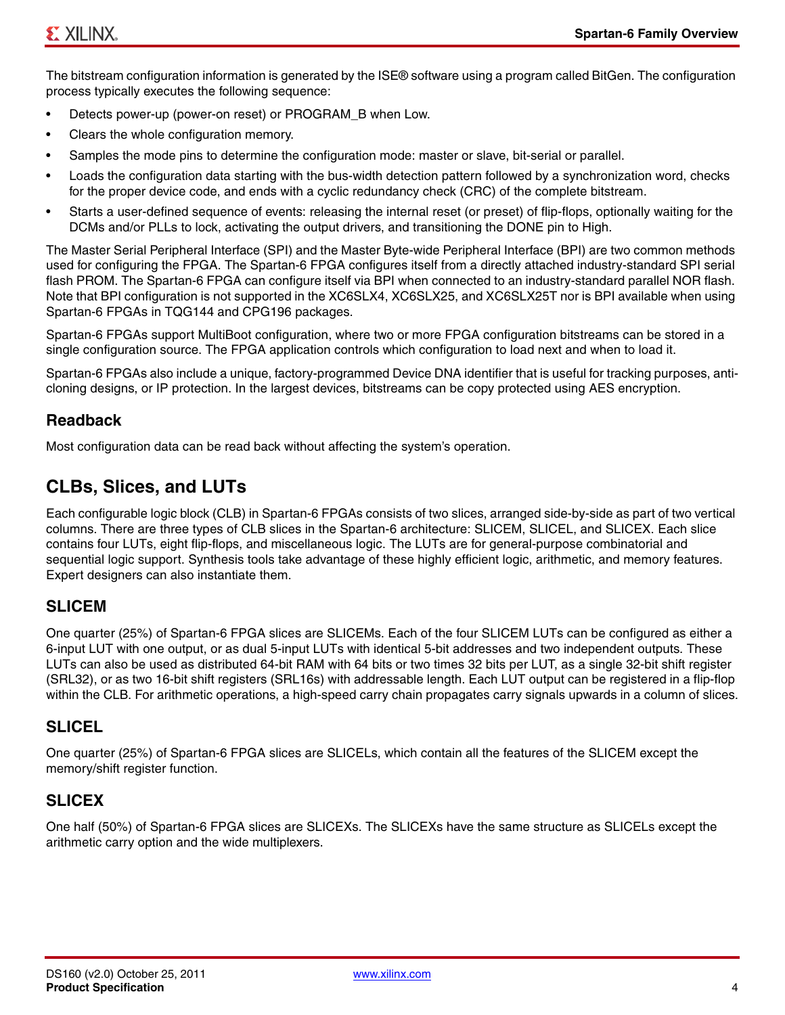The bitstream configuration information is generated by the ISE® software using a program called BitGen. The configuration process typically executes the following sequence:

- Detects power-up (power-on reset) or PROGRAM\_B when Low.
- Clears the whole configuration memory.
- Samples the mode pins to determine the configuration mode: master or slave, bit-serial or parallel.
- Loads the configuration data starting with the bus-width detection pattern followed by a synchronization word, checks for the proper device code, and ends with a cyclic redundancy check (CRC) of the complete bitstream.
- Starts a user-defined sequence of events: releasing the internal reset (or preset) of flip-flops, optionally waiting for the DCMs and/or PLLs to lock, activating the output drivers, and transitioning the DONE pin to High.

The Master Serial Peripheral Interface (SPI) and the Master Byte-wide Peripheral Interface (BPI) are two common methods used for configuring the FPGA. The Spartan-6 FPGA configures itself from a directly attached industry-standard SPI serial flash PROM. The Spartan-6 FPGA can configure itself via BPI when connected to an industry-standard parallel NOR flash. Note that BPI configuration is not supported in the XC6SLX4, XC6SLX25, and XC6SLX25T nor is BPI available when using Spartan-6 FPGAs in TQG144 and CPG196 packages.

Spartan-6 FPGAs support MultiBoot configuration, where two or more FPGA configuration bitstreams can be stored in a single configuration source. The FPGA application controls which configuration to load next and when to load it.

Spartan-6 FPGAs also include a unique, factory-programmed Device DNA identifier that is useful for tracking purposes, anticloning designs, or IP protection. In the largest devices, bitstreams can be copy protected using AES encryption.

# <span id="page-3-0"></span>**Readback**

Most configuration data can be read back without affecting the system's operation.

# <span id="page-3-1"></span>**CLBs, Slices, and LUTs**

Each configurable logic block (CLB) in Spartan-6 FPGAs consists of two slices, arranged side-by-side as part of two vertical columns. There are three types of CLB slices in the Spartan-6 architecture: SLICEM, SLICEL, and SLICEX. Each slice contains four LUTs, eight flip-flops, and miscellaneous logic. The LUTs are for general-purpose combinatorial and sequential logic support. Synthesis tools take advantage of these highly efficient logic, arithmetic, and memory features. Expert designers can also instantiate them.

# **SLICEM**

One quarter (25%) of Spartan-6 FPGA slices are SLICEMs. Each of the four SLICEM LUTs can be configured as either a 6-input LUT with one output, or as dual 5-input LUTs with identical 5-bit addresses and two independent outputs. These LUTs can also be used as distributed 64-bit RAM with 64 bits or two times 32 bits per LUT, as a single 32-bit shift register (SRL32), or as two 16-bit shift registers (SRL16s) with addressable length. Each LUT output can be registered in a flip-flop within the CLB. For arithmetic operations, a high-speed carry chain propagates carry signals upwards in a column of slices.

# **SLICEL**

One quarter (25%) of Spartan-6 FPGA slices are SLICELs, which contain all the features of the SLICEM except the memory/shift register function.

# **SLICEX**

One half (50%) of Spartan-6 FPGA slices are SLICEXs. The SLICEXs have the same structure as SLICELs except the arithmetic carry option and the wide multiplexers.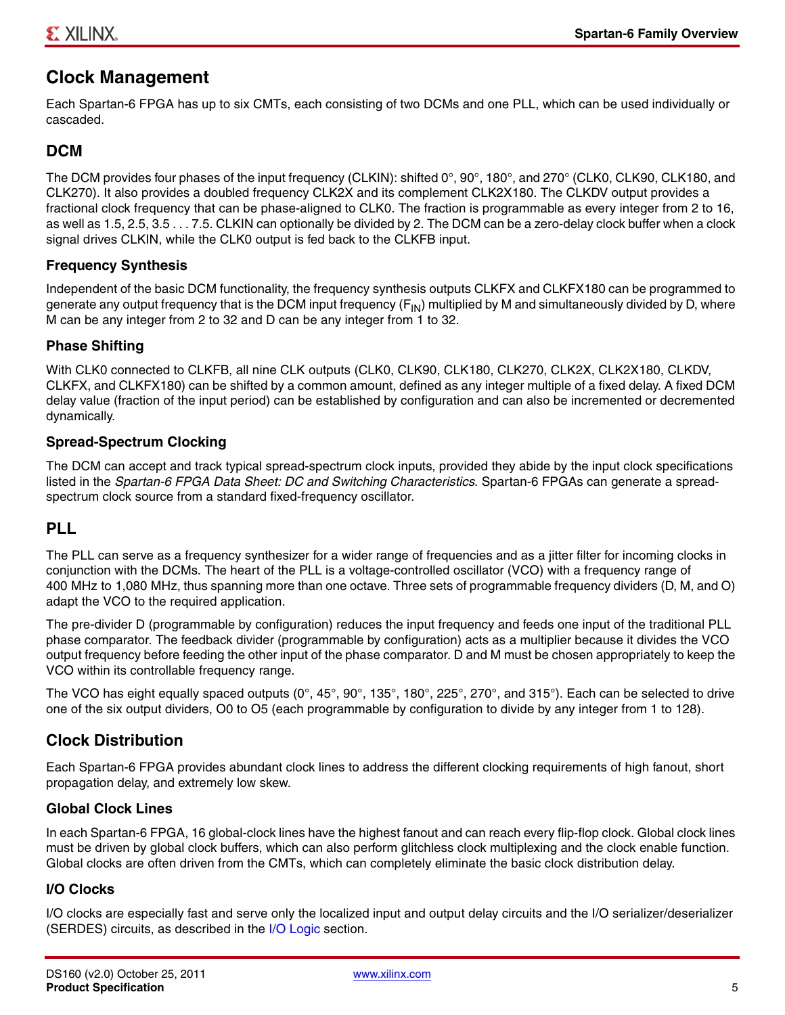# **Clock Management**

Each Spartan-6 FPGA has up to six CMTs, each consisting of two DCMs and one PLL, which can be used individually or cascaded.

# **DCM**

The DCM provides four phases of the input frequency (CLKIN): shifted 0°, 90°, 180°, and 270° (CLK0, CLK90, CLK180, and CLK270). It also provides a doubled frequency CLK2X and its complement CLK2X180. The CLKDV output provides a fractional clock frequency that can be phase-aligned to CLK0. The fraction is programmable as every integer from 2 to 16, as well as 1.5, 2.5, 3.5 . . . 7.5. CLKIN can optionally be divided by 2. The DCM can be a zero-delay clock buffer when a clock signal drives CLKIN, while the CLK0 output is fed back to the CLKFB input.

# <span id="page-4-1"></span>**Frequency Synthesis**

Independent of the basic DCM functionality, the frequency synthesis outputs CLKFX and CLKFX180 can be programmed to generate any output frequency that is the DCM input frequency  $(F_{N})$  multiplied by M and simultaneously divided by D, where M can be any integer from 2 to 32 and D can be any integer from 1 to 32.

# **Phase Shifting**

With CLK0 connected to CLKFB, all nine CLK outputs (CLK0, CLK90, CLK180, CLK270, CLK2X, CLK2X180, CLKDV, CLKFX, and CLKFX180) can be shifted by a common amount, defined as any integer multiple of a fixed delay. A fixed DCM delay value (fraction of the input period) can be established by configuration and can also be incremented or decremented dynamically.

# <span id="page-4-2"></span>**Spread-Spectrum Clocking**

The DCM can accept and track typical spread-spectrum clock inputs, provided they abide by the input clock specifications listed in the *Spartan-6 FPGA Data Sheet: DC and Switching Characteristics*. Spartan-6 FPGAs can generate a spreadspectrum clock source from a standard fixed-frequency oscillator.

# <span id="page-4-0"></span>**PLL**

The PLL can serve as a frequency synthesizer for a wider range of frequencies and as a jitter filter for incoming clocks in conjunction with the DCMs. The heart of the PLL is a voltage-controlled oscillator (VCO) with a frequency range of 400 MHz to 1,080 MHz, thus spanning more than one octave. Three sets of programmable frequency dividers (D, M, and O) adapt the VCO to the required application.

The pre-divider D (programmable by configuration) reduces the input frequency and feeds one input of the traditional PLL phase comparator. The feedback divider (programmable by configuration) acts as a multiplier because it divides the VCO output frequency before feeding the other input of the phase comparator. D and M must be chosen appropriately to keep the VCO within its controllable frequency range.

The VCO has eight equally spaced outputs (0°, 45°, 90°, 135°, 180°, 225°, 270°, and 315°). Each can be selected to drive one of the six output dividers, O0 to O5 (each programmable by configuration to divide by any integer from 1 to 128).

# **Clock Distribution**

Each Spartan-6 FPGA provides abundant clock lines to address the different clocking requirements of high fanout, short propagation delay, and extremely low skew.

# **Global Clock Lines**

In each Spartan-6 FPGA, 16 global-clock lines have the highest fanout and can reach every flip-flop clock. Global clock lines must be driven by global clock buffers, which can also perform glitchless clock multiplexing and the clock enable function. Global clocks are often driven from the CMTs, which can completely eliminate the basic clock distribution delay.

# **I/O Clocks**

I/O clocks are especially fast and serve only the localized input and output delay circuits and the I/O serializer/deserializer (SERDES) circuits, as described in the [I/O Logic](#page-6-0) section.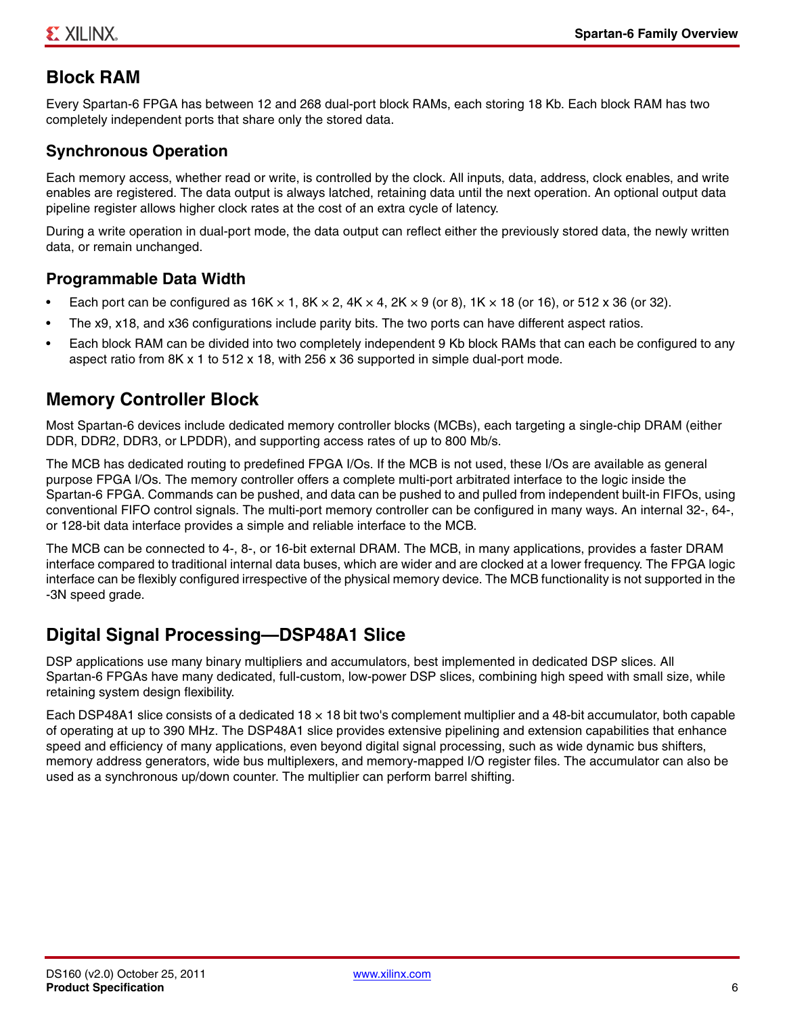# **Block RAM**

Every Spartan-6 FPGA has between 12 and 268 dual-port block RAMs, each storing 18 Kb. Each block RAM has two completely independent ports that share only the stored data.

# **Synchronous Operation**

Each memory access, whether read or write, is controlled by the clock. All inputs, data, address, clock enables, and write enables are registered. The data output is always latched, retaining data until the next operation. An optional output data pipeline register allows higher clock rates at the cost of an extra cycle of latency.

During a write operation in dual-port mode, the data output can reflect either the previously stored data, the newly written data, or remain unchanged.

# <span id="page-5-1"></span>**Programmable Data Width**

- Each port can be configured as  $16K \times 1$ ,  $8K \times 2$ ,  $4K \times 4$ ,  $2K \times 9$  (or 8),  $1K \times 18$  (or 16), or  $512 \times 36$  (or 32).
- The x9, x18, and x36 configurations include parity bits. The two ports can have different aspect ratios.
- Each block RAM can be divided into two completely independent 9 Kb block RAMs that can each be configured to any aspect ratio from 8K x 1 to 512 x 18, with 256 x 36 supported in simple dual-port mode.

# <span id="page-5-0"></span>**Memory Controller Block**

Most Spartan-6 devices include dedicated memory controller blocks (MCBs), each targeting a single-chip DRAM (either DDR, DDR2, DDR3, or LPDDR), and supporting access rates of up to 800 Mb/s.

The MCB has dedicated routing to predefined FPGA I/Os. If the MCB is not used, these I/Os are available as general purpose FPGA I/Os. The memory controller offers a complete multi-port arbitrated interface to the logic inside the Spartan-6 FPGA. Commands can be pushed, and data can be pushed to and pulled from independent built-in FIFOs, using conventional FIFO control signals. The multi-port memory controller can be configured in many ways. An internal 32-, 64-, or 128-bit data interface provides a simple and reliable interface to the MCB.

The MCB can be connected to 4-, 8-, or 16-bit external DRAM. The MCB, in many applications, provides a faster DRAM interface compared to traditional internal data buses, which are wider and are clocked at a lower frequency. The FPGA logic interface can be flexibly configured irrespective of the physical memory device. The MCB functionality is not supported in the -3N speed grade.

# <span id="page-5-2"></span>**Digital Signal Processing—DSP48A1 Slice**

DSP applications use many binary multipliers and accumulators, best implemented in dedicated DSP slices. All Spartan-6 FPGAs have many dedicated, full-custom, low-power DSP slices, combining high speed with small size, while retaining system design flexibility.

Each DSP48A1 slice consists of a dedicated  $18 \times 18$  bit two's complement multiplier and a 48-bit accumulator, both capable of operating at up to 390 MHz. The DSP48A1 slice provides extensive pipelining and extension capabilities that enhance speed and efficiency of many applications, even beyond digital signal processing, such as wide dynamic bus shifters, memory address generators, wide bus multiplexers, and memory-mapped I/O register files. The accumulator can also be used as a synchronous up/down counter. The multiplier can perform barrel shifting.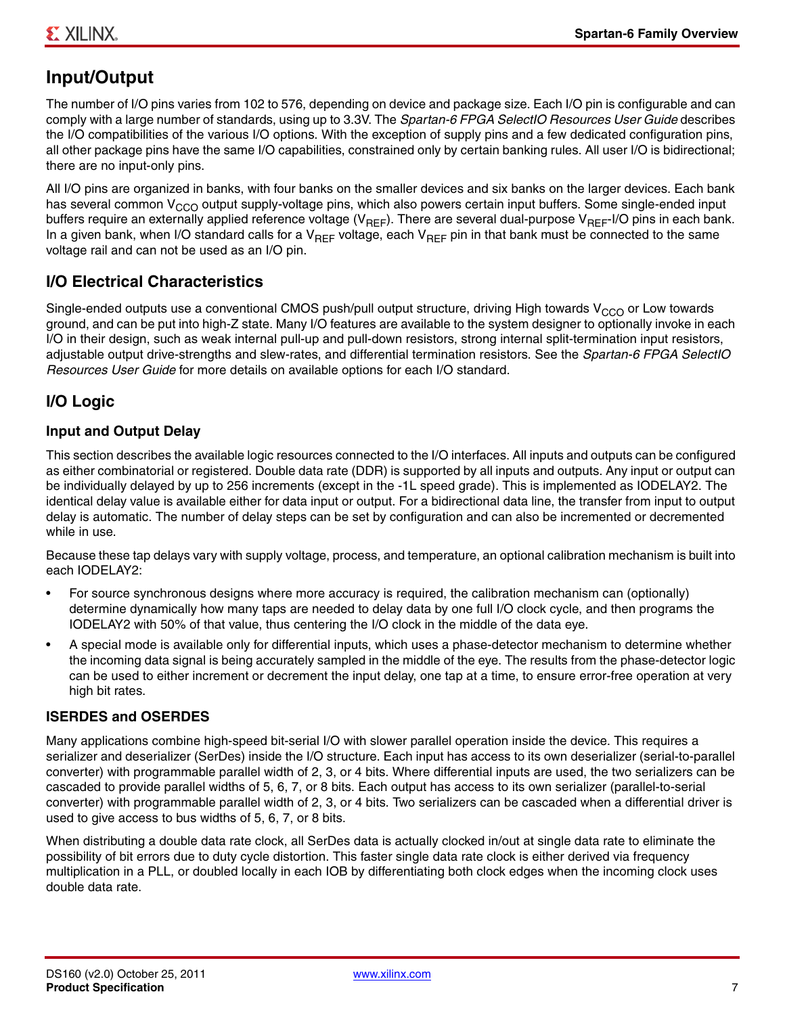# <span id="page-6-1"></span>**Input/Output**

The number of I/O pins varies from 102 to 576, depending on device and package size. Each I/O pin is configurable and can comply with a large number of standards, using up to 3.3V. The *Spartan-6 FPGA SelectIO Resources User Guide* describes the I/O compatibilities of the various I/O options. With the exception of supply pins and a few dedicated configuration pins, all other package pins have the same I/O capabilities, constrained only by certain banking rules. All user I/O is bidirectional; there are no input-only pins.

All I/O pins are organized in banks, with four banks on the smaller devices and six banks on the larger devices. Each bank has several common V<sub>CCO</sub> output supply-voltage pins, which also powers certain input buffers. Some single-ended input buffers require an externally applied reference voltage ( $V_{BFE}$ ). There are several dual-purpose  $V_{BEF}$ -I/O pins in each bank. In a given bank, when I/O standard calls for a  $V_{RFF}$  voltage, each  $V_{RFF}$  pin in that bank must be connected to the same voltage rail and can not be used as an I/O pin.

# **I/O Electrical Characteristics**

Single-ended outputs use a conventional CMOS push/pull output structure, driving High towards  $V_{CCO}$  or Low towards ground, and can be put into high-Z state. Many I/O features are available to the system designer to optionally invoke in each I/O in their design, such as weak internal pull-up and pull-down resistors, strong internal split-termination input resistors, adjustable output drive-strengths and slew-rates, and differential termination resistors. See the *Spartan-6 FPGA SelectIO Resources User Guide* for more details on available options for each I/O standard.

# <span id="page-6-0"></span>**I/O Logic**

# <span id="page-6-2"></span>**Input and Output Delay**

This section describes the available logic resources connected to the I/O interfaces. All inputs and outputs can be configured as either combinatorial or registered. Double data rate (DDR) is supported by all inputs and outputs. Any input or output can be individually delayed by up to 256 increments (except in the -1L speed grade). This is implemented as IODELAY2. The identical delay value is available either for data input or output. For a bidirectional data line, the transfer from input to output delay is automatic. The number of delay steps can be set by configuration and can also be incremented or decremented while in use.

Because these tap delays vary with supply voltage, process, and temperature, an optional calibration mechanism is built into each IODELAY2:

- For source synchronous designs where more accuracy is required, the calibration mechanism can (optionally) determine dynamically how many taps are needed to delay data by one full I/O clock cycle, and then programs the IODELAY2 with 50% of that value, thus centering the I/O clock in the middle of the data eye.
- A special mode is available only for differential inputs, which uses a phase-detector mechanism to determine whether the incoming data signal is being accurately sampled in the middle of the eye. The results from the phase-detector logic can be used to either increment or decrement the input delay, one tap at a time, to ensure error-free operation at very high bit rates.

# **ISERDES and OSERDES**

Many applications combine high-speed bit-serial I/O with slower parallel operation inside the device. This requires a serializer and deserializer (SerDes) inside the I/O structure. Each input has access to its own deserializer (serial-to-parallel converter) with programmable parallel width of 2, 3, or 4 bits. Where differential inputs are used, the two serializers can be cascaded to provide parallel widths of 5, 6, 7, or 8 bits. Each output has access to its own serializer (parallel-to-serial converter) with programmable parallel width of 2, 3, or 4 bits. Two serializers can be cascaded when a differential driver is used to give access to bus widths of 5, 6, 7, or 8 bits.

When distributing a double data rate clock, all SerDes data is actually clocked in/out at single data rate to eliminate the possibility of bit errors due to duty cycle distortion. This faster single data rate clock is either derived via frequency multiplication in a PLL, or doubled locally in each IOB by differentiating both clock edges when the incoming clock uses double data rate.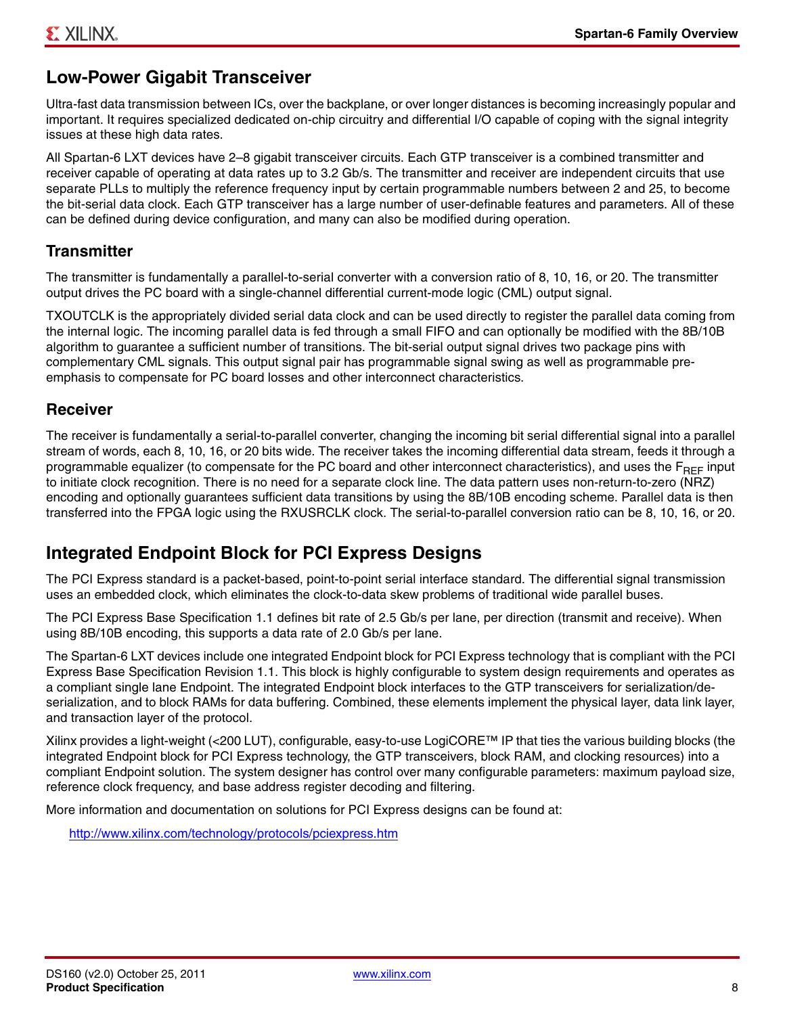# <span id="page-7-0"></span>**Low-Power Gigabit Transceiver**

Ultra-fast data transmission between ICs, over the backplane, or over longer distances is becoming increasingly popular and important. It requires specialized dedicated on-chip circuitry and differential I/O capable of coping with the signal integrity issues at these high data rates.

All Spartan-6 LXT devices have 2–8 gigabit transceiver circuits. Each GTP transceiver is a combined transmitter and receiver capable of operating at data rates up to 3.2 Gb/s. The transmitter and receiver are independent circuits that use separate PLLs to multiply the reference frequency input by certain programmable numbers between 2 and 25, to become the bit-serial data clock. Each GTP transceiver has a large number of user-definable features and parameters. All of these can be defined during device configuration, and many can also be modified during operation.

# **Transmitter**

The transmitter is fundamentally a parallel-to-serial converter with a conversion ratio of 8, 10, 16, or 20. The transmitter output drives the PC board with a single-channel differential current-mode logic (CML) output signal.

TXOUTCLK is the appropriately divided serial data clock and can be used directly to register the parallel data coming from the internal logic. The incoming parallel data is fed through a small FIFO and can optionally be modified with the 8B/10B algorithm to guarantee a sufficient number of transitions. The bit-serial output signal drives two package pins with complementary CML signals. This output signal pair has programmable signal swing as well as programmable preemphasis to compensate for PC board losses and other interconnect characteristics.

# **Receiver**

The receiver is fundamentally a serial-to-parallel converter, changing the incoming bit serial differential signal into a parallel stream of words, each 8, 10, 16, or 20 bits wide. The receiver takes the incoming differential data stream, feeds it through a programmable equalizer (to compensate for the PC board and other interconnect characteristics), and uses the  $F_{BFF}$  input to initiate clock recognition. There is no need for a separate clock line. The data pattern uses non-return-to-zero (NRZ) encoding and optionally guarantees sufficient data transitions by using the 8B/10B encoding scheme. Parallel data is then transferred into the FPGA logic using the RXUSRCLK clock. The serial-to-parallel conversion ratio can be 8, 10, 16, or 20.

# <span id="page-7-1"></span>**Integrated Endpoint Block for PCI Express Designs**

The PCI Express standard is a packet-based, point-to-point serial interface standard. The differential signal transmission uses an embedded clock, which eliminates the clock-to-data skew problems of traditional wide parallel buses.

The PCI Express Base Specification 1.1 defines bit rate of 2.5 Gb/s per lane, per direction (transmit and receive). When using 8B/10B encoding, this supports a data rate of 2.0 Gb/s per lane.

The Spartan-6 LXT devices include one integrated Endpoint block for PCI Express technology that is compliant with the PCI Express Base Specification Revision 1.1. This block is highly configurable to system design requirements and operates as a compliant single lane Endpoint. The integrated Endpoint block interfaces to the GTP transceivers for serialization/deserialization, and to block RAMs for data buffering. Combined, these elements implement the physical layer, data link layer, and transaction layer of the protocol.

Xilinx provides a light-weight (<200 LUT), configurable, easy-to-use LogiCORE™ IP that ties the various building blocks (the integrated Endpoint block for PCI Express technology, the GTP transceivers, block RAM, and clocking resources) into a compliant Endpoint solution. The system designer has control over many configurable parameters: maximum payload size, reference clock frequency, and base address register decoding and filtering.

More information and documentation on solutions for PCI Express designs can be found at:

<http://www.xilinx.com/technology/protocols/pciexpress.htm>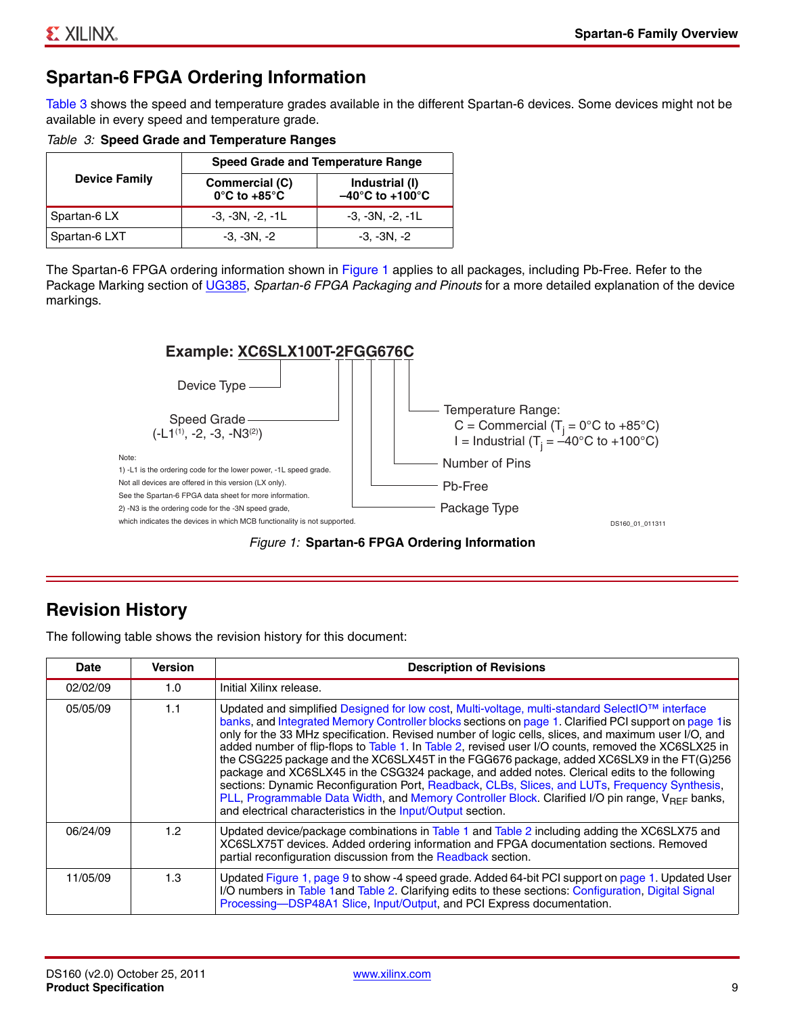# <span id="page-8-3"></span>**Spartan-6 FPGA Ordering Information**

[Table 3](#page-8-2) shows the speed and temperature grades available in the different Spartan-6 devices. Some devices might not be available in every speed and temperature grade.

<span id="page-8-2"></span>*Table 3:* **Speed Grade and Temperature Ranges**

|                      | <b>Speed Grade and Temperature Range</b>            |                                                        |  |  |  |  |  |
|----------------------|-----------------------------------------------------|--------------------------------------------------------|--|--|--|--|--|
| <b>Device Family</b> | Commercial (C)<br>$0^{\circ}$ C to +85 $^{\circ}$ C | Industrial (I)<br>$-40^{\circ}$ C to +100 $^{\circ}$ C |  |  |  |  |  |
| Spartan-6 LX         | $-3, -3N, -2, -1L$                                  | $-3, -3N, -2, -1L$                                     |  |  |  |  |  |
| Spartan-6 LXT        | $-3, -3N, -2$                                       | $-3, -3N, -2$                                          |  |  |  |  |  |

<span id="page-8-0"></span>The Spartan-6 FPGA ordering information shown in [Figure 1](#page-8-0) applies to all packages, including Pb-Free. Refer to the Package Marking section of [UG385](http://www.xilinx.com/support/documentation/user_guides/ug385.pdf), *Spartan-6 FPGA Packaging and Pinouts* for a more detailed explanation of the device markings.





# <span id="page-8-1"></span>**Revision History**

The following table shows the revision history for this document:

| <b>Date</b> | <b>Version</b>   | <b>Description of Revisions</b>                                                                                                                                                                                                                                                                                                                                                                                                                                                                                                                                                                                                                                                                                                                                                                                                                                                              |
|-------------|------------------|----------------------------------------------------------------------------------------------------------------------------------------------------------------------------------------------------------------------------------------------------------------------------------------------------------------------------------------------------------------------------------------------------------------------------------------------------------------------------------------------------------------------------------------------------------------------------------------------------------------------------------------------------------------------------------------------------------------------------------------------------------------------------------------------------------------------------------------------------------------------------------------------|
| 02/02/09    | 1.0              | Initial Xilinx release.                                                                                                                                                                                                                                                                                                                                                                                                                                                                                                                                                                                                                                                                                                                                                                                                                                                                      |
| 05/05/09    | 1.1              | Updated and simplified Designed for low cost, Multi-voltage, multi-standard SelectIO™ interface<br>banks, and Integrated Memory Controller blocks sections on page 1. Clarified PCI support on page 1 is<br>only for the 33 MHz specification. Revised number of logic cells, slices, and maximum user I/O, and<br>added number of flip-flops to Table 1. In Table 2, revised user I/O counts, removed the XC6SLX25 in<br>the CSG225 package and the XC6SLX45T in the FGG676 package, added XC6SLX9 in the FT(G)256<br>package and XC6SLX45 in the CSG324 package, and added notes. Clerical edits to the following<br>sections: Dynamic Reconfiguration Port, Readback, CLBs, Slices, and LUTs, Frequency Synthesis,<br>PLL, Programmable Data Width, and Memory Controller Block. Clarified I/O pin range, $V_{BFE}$ banks,<br>and electrical characteristics in the Input/Output section. |
| 06/24/09    | 1.2 <sub>1</sub> | Updated device/package combinations in Table 1 and Table 2 including adding the XC6SLX75 and<br>XC6SLX75T devices. Added ordering information and FPGA documentation sections. Removed<br>partial reconfiguration discussion from the Readback section.                                                                                                                                                                                                                                                                                                                                                                                                                                                                                                                                                                                                                                      |
| 11/05/09    | 1.3              | Updated Figure 1, page 9 to show -4 speed grade. Added 64-bit PCI support on page 1. Updated User<br>I/O numbers in Table 1 and Table 2. Clarifying edits to these sections: Configuration, Digital Signal<br>Processing-DSP48A1 Slice, Input/Output, and PCI Express documentation.                                                                                                                                                                                                                                                                                                                                                                                                                                                                                                                                                                                                         |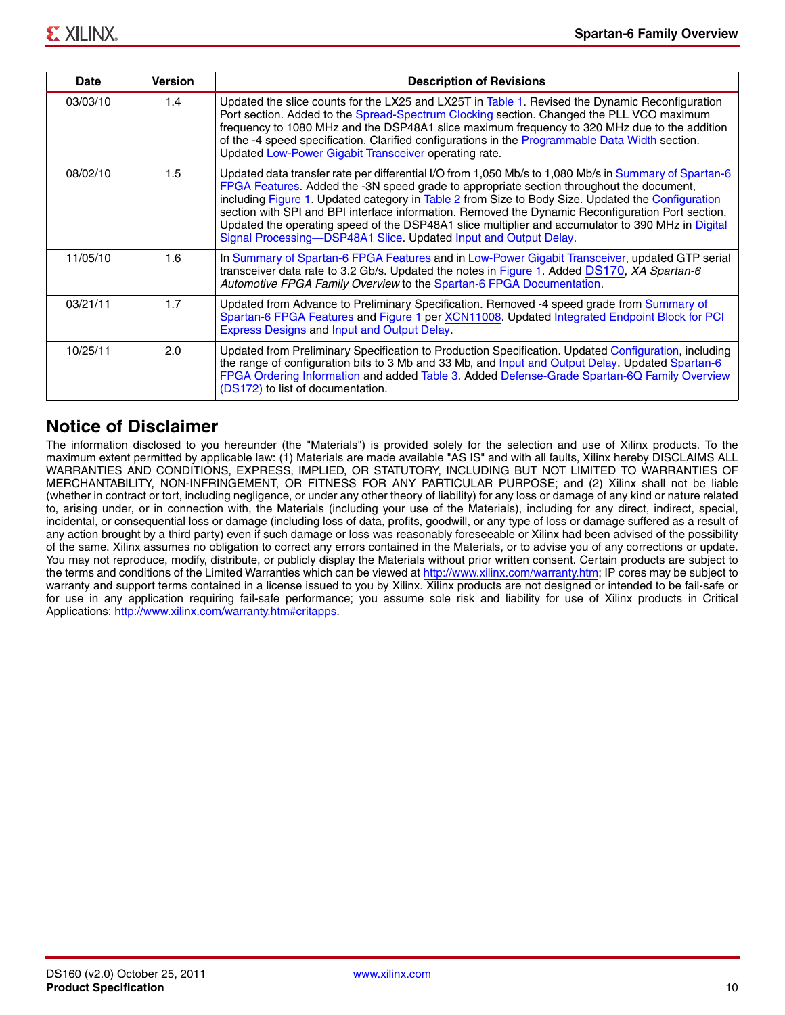| Date     | <b>Version</b> | <b>Description of Revisions</b>                                                                                                                                                                                                                                                                                                                                                                                                                                                                                                                                                      |
|----------|----------------|--------------------------------------------------------------------------------------------------------------------------------------------------------------------------------------------------------------------------------------------------------------------------------------------------------------------------------------------------------------------------------------------------------------------------------------------------------------------------------------------------------------------------------------------------------------------------------------|
| 03/03/10 | 1.4            | Updated the slice counts for the LX25 and LX25T in Table 1. Revised the Dynamic Reconfiguration<br>Port section. Added to the Spread-Spectrum Clocking section. Changed the PLL VCO maximum<br>frequency to 1080 MHz and the DSP48A1 slice maximum frequency to 320 MHz due to the addition<br>of the -4 speed specification. Clarified configurations in the Programmable Data Width section.<br>Updated Low-Power Gigabit Transceiver operating rate.                                                                                                                              |
| 08/02/10 | 1.5            | Updated data transfer rate per differential I/O from 1,050 Mb/s to 1,080 Mb/s in Summary of Spartan-6<br>FPGA Features. Added the -3N speed grade to appropriate section throughout the document,<br>including Figure 1. Updated category in Table 2 from Size to Body Size. Updated the Configuration<br>section with SPI and BPI interface information. Removed the Dynamic Reconfiguration Port section.<br>Updated the operating speed of the DSP48A1 slice multiplier and accumulator to 390 MHz in Digital<br>Signal Processing-DSP48A1 Slice. Updated Input and Output Delay. |
| 11/05/10 | 1.6            | In Summary of Spartan-6 FPGA Features and in Low-Power Gigabit Transceiver, updated GTP serial<br>transceiver data rate to 3.2 Gb/s. Updated the notes in Figure 1. Added DS170, XA Spartan-6<br>Automotive FPGA Family Overview to the Spartan-6 FPGA Documentation.                                                                                                                                                                                                                                                                                                                |
| 03/21/11 | 1.7            | Updated from Advance to Preliminary Specification. Removed -4 speed grade from Summary of<br>Spartan-6 FPGA Features and Figure 1 per XCN11008. Updated Integrated Endpoint Block for PCI<br>Express Designs and Input and Output Delay.                                                                                                                                                                                                                                                                                                                                             |
| 10/25/11 | 2.0            | Updated from Preliminary Specification to Production Specification. Updated Configuration, including<br>the range of configuration bits to 3 Mb and 33 Mb, and Input and Output Delay. Updated Spartan-6<br>FPGA Ordering Information and added Table 3. Added Defense-Grade Spartan-6Q Family Overview<br>(DS172) to list of documentation.                                                                                                                                                                                                                                         |

# **Notice of Disclaimer**

The information disclosed to you hereunder (the "Materials") is provided solely for the selection and use of Xilinx products. To the maximum extent permitted by applicable law: (1) Materials are made available "AS IS" and with all faults, Xilinx hereby DISCLAIMS ALL WARRANTIES AND CONDITIONS, EXPRESS, IMPLIED, OR STATUTORY, INCLUDING BUT NOT LIMITED TO WARRANTIES OF MERCHANTABILITY, NON-INFRINGEMENT, OR FITNESS FOR ANY PARTICULAR PURPOSE; and (2) Xilinx shall not be liable (whether in contract or tort, including negligence, or under any other theory of liability) for any loss or damage of any kind or nature related to, arising under, or in connection with, the Materials (including your use of the Materials), including for any direct, indirect, special, incidental, or consequential loss or damage (including loss of data, profits, goodwill, or any type of loss or damage suffered as a result of any action brought by a third party) even if such damage or loss was reasonably foreseeable or Xilinx had been advised of the possibility of the same. Xilinx assumes no obligation to correct any errors contained in the Materials, or to advise you of any corrections or update. You may not reproduce, modify, distribute, or publicly display the Materials without prior written consent. Certain products are subject to the terms and conditions of the Limited Warranties which can be viewed at [http://www.xilinx.com/warranty.htm;](http://www.xilinx.com/warranty.htm) IP cores may be subject to warranty and support terms contained in a license issued to you by Xilinx. Xilinx products are not designed or intended to be fail-safe or for use in any application requiring fail-safe performance; you assume sole risk and liability for use of Xilinx products in Critical Applications: [http://www.xilinx.com/warranty.htm#critapps.](http://www.xilinx.com/warranty.htm#critapps)